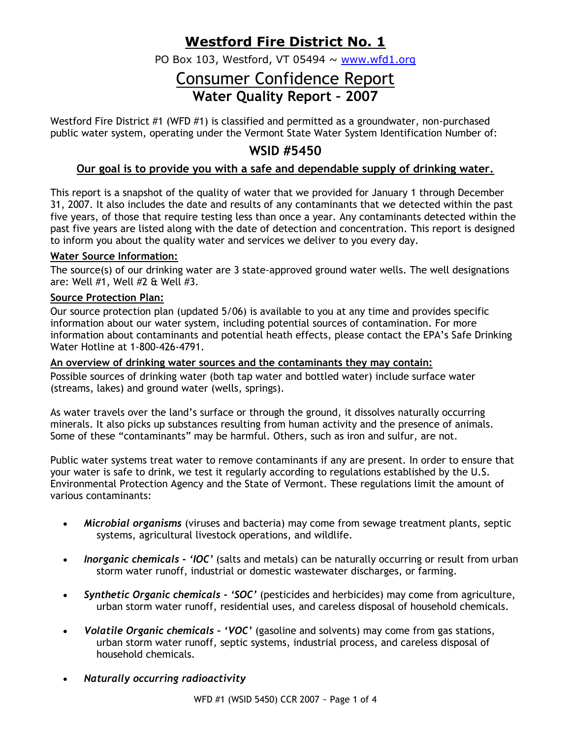## **Westford Fire District No. 1**

PO Box 103, Westford, VT 05494  $\sim$  www.wfd1.org

# Consumer Confidence Report **Water Quality Report – 2007**

Westford Fire District #1 (WFD #1) is classified and permitted as a groundwater, non-purchased public water system, operating under the Vermont State Water System Identification Number of:

## **WSID #5450**

### **Our goal is to provide you with a safe and dependable supply of drinking water.**

This report is a snapshot of the quality of water that we provided for January 1 through December 31, 2007. It also includes the date and results of any contaminants that we detected within the past five years, of those that require testing less than once a year. Any contaminants detected within the past five years are listed along with the date of detection and concentration. This report is designed to inform you about the quality water and services we deliver to you every day.

#### **Water Source Information:**

The source(s) of our drinking water are 3 state-approved ground water wells. The well designations are: Well #1, Well #2 & Well #3.

#### **Source Protection Plan:**

Our source protection plan (updated 5/06) is available to you at any time and provides specific information about our water system, including potential sources of contamination. For more information about contaminants and potential heath effects, please contact the EPA's Safe Drinking Water Hotline at 1-800-426-4791.

#### **An overview of drinking water sources and the contaminants they may contain:**

Possible sources of drinking water (both tap water and bottled water) include surface water (streams, lakes) and ground water (wells, springs).

As water travels over the land's surface or through the ground, it dissolves naturally occurring minerals. It also picks up substances resulting from human activity and the presence of animals. Some of these "contaminants" may be harmful. Others, such as iron and sulfur, are not.

Public water systems treat water to remove contaminants if any are present. In order to ensure that your water is safe to drink, we test it regularly according to regulations established by the U.S. Environmental Protection Agency and the State of Vermont. These regulations limit the amount of various contaminants:

- *Microbial organisms* (viruses and bacteria) may come from sewage treatment plants, septic systems, agricultural livestock operations, and wildlife.
- *Inorganic chemicals - 'IOC'* (salts and metals) can be naturally occurring or result from urban storm water runoff, industrial or domestic wastewater discharges, or farming.
- *Synthetic Organic chemicals - 'SOC'* (pesticides and herbicides) may come from agriculture, urban storm water runoff, residential uses, and careless disposal of household chemicals.
- *Volatile Organic chemicals – 'VOC'* (gasoline and solvents) may come from gas stations, urban storm water runoff, septic systems, industrial process, and careless disposal of household chemicals.
- *Naturally occurring radioactivity*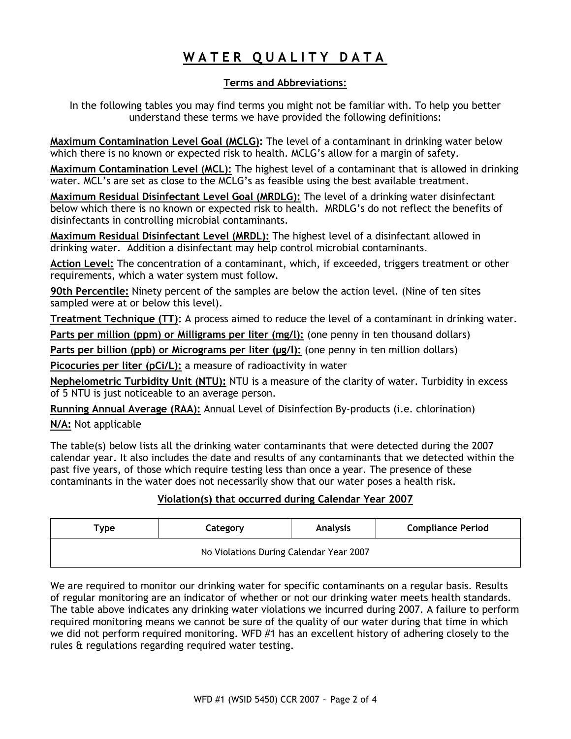# **W A T E R Q U A L I T Y D A T A**

#### **Terms and Abbreviations:**

In the following tables you may find terms you might not be familiar with. To help you better understand these terms we have provided the following definitions:

**Maximum Contamination Level Goal (MCLG):** The level of a contaminant in drinking water below which there is no known or expected risk to health. MCLG's allow for a margin of safety.

**Maximum Contamination Level (MCL):** The highest level of a contaminant that is allowed in drinking water. MCL's are set as close to the MCLG's as feasible using the best available treatment.

**Maximum Residual Disinfectant Level Goal (MRDLG):** The level of a drinking water disinfectant below which there is no known or expected risk to health. MRDLG's do not reflect the benefits of disinfectants in controlling microbial contaminants.

**Maximum Residual Disinfectant Level (MRDL):** The highest level of a disinfectant allowed in drinking water. Addition a disinfectant may help control microbial contaminants.

**Action Level:** The concentration of a contaminant, which, if exceeded, triggers treatment or other requirements, which a water system must follow.

**90th Percentile:** Ninety percent of the samples are below the action level. (Nine of ten sites sampled were at or below this level).

**Treatment Technique (TT):** A process aimed to reduce the level of a contaminant in drinking water.

**Parts per million (ppm) or Milligrams per liter (mg/l):** (one penny in ten thousand dollars)

**Parts per billion (ppb) or Micrograms per liter (µg/l):** (one penny in ten million dollars)

**Picocuries per liter (pCi/L):** a measure of radioactivity in water

**Nephelometric Turbidity Unit (NTU):** NTU is a measure of the clarity of water. Turbidity in excess of 5 NTU is just noticeable to an average person.

**Running Annual Average (RAA):** Annual Level of Disinfection By-products (i.e. chlorination)

**N/A:** Not applicable

The table(s) below lists all the drinking water contaminants that were detected during the 2007 calendar year. It also includes the date and results of any contaminants that we detected within the past five years, of those which require testing less than once a year. The presence of these contaminants in the water does not necessarily show that our water poses a health risk.

### **Violation(s) that occurred during Calendar Year 2007**

| Туре                                    | Category | <b>Analysis</b> | <b>Compliance Period</b> |  |  |  |  |
|-----------------------------------------|----------|-----------------|--------------------------|--|--|--|--|
| No Violations During Calendar Year 2007 |          |                 |                          |  |  |  |  |

We are required to monitor our drinking water for specific contaminants on a regular basis. Results of regular monitoring are an indicator of whether or not our drinking water meets health standards. The table above indicates any drinking water violations we incurred during 2007. A failure to perform required monitoring means we cannot be sure of the quality of our water during that time in which we did not perform required monitoring. WFD #1 has an excellent history of adhering closely to the rules & regulations regarding required water testing.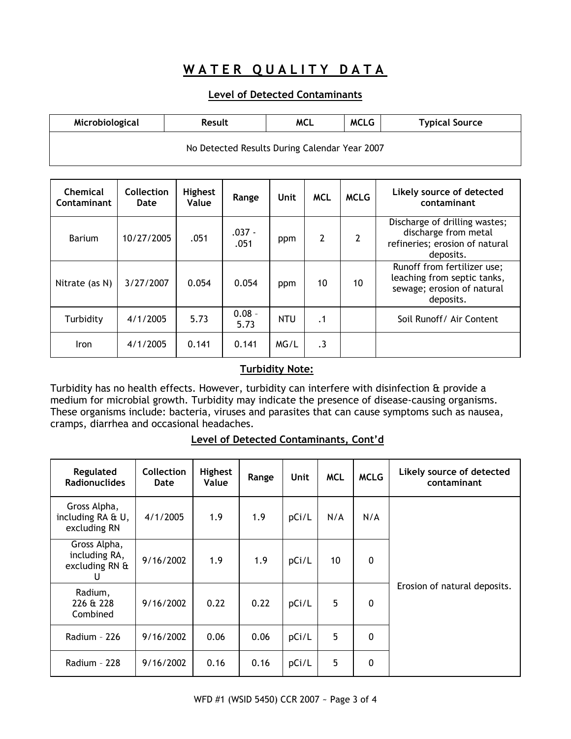## **WATER QUALITY DATA**

### **Level of Detected Contaminants**

| Microbiological | <b>Result</b>                                 | <b>MCLG</b><br>MCL |  | <b>Typical Source</b> |
|-----------------|-----------------------------------------------|--------------------|--|-----------------------|
|                 | No Detected Results During Calendar Year 2007 |                    |  |                       |

| <b>Chemical</b><br>Contaminant | Collection<br>Date | <b>Highest</b><br>Value | Range            | Unit       | <b>MCL</b>     | <b>MCLG</b> | Likely source of detected<br>contaminant                                                              |
|--------------------------------|--------------------|-------------------------|------------------|------------|----------------|-------------|-------------------------------------------------------------------------------------------------------|
| <b>Barium</b>                  | 10/27/2005         | .051                    | $.037 -$<br>.051 | ppm        | $\overline{2}$ | 2           | Discharge of drilling wastes;<br>discharge from metal<br>refineries; erosion of natural<br>deposits.  |
| Nitrate (as N)                 | 3/27/2007          | 0.054                   | 0.054            | ppm        | 10             | 10          | Runoff from fertilizer use;<br>leaching from septic tanks,<br>sewage; erosion of natural<br>deposits. |
| Turbidity                      | 4/1/2005           | 5.73                    | $0.08 -$<br>5.73 | <b>NTU</b> | $\cdot$ 1      |             | Soil Runoff/ Air Content                                                                              |
| <b>Iron</b>                    | 4/1/2005           | 0.141                   | 0.141            | MG/L       | $\cdot$ 3      |             |                                                                                                       |

### **Turbidity Note:**

Turbidity has no health effects. However, turbidity can interfere with disinfection & provide a medium for microbial growth. Turbidity may indicate the presence of disease-causing organisms. These organisms include: bacteria, viruses and parasites that can cause symptoms such as nausea, cramps, diarrhea and occasional headaches.

|  | Level of Detected Contaminants, Cont'd |  |
|--|----------------------------------------|--|
|  |                                        |  |

| Regulated<br><b>Radionuclides</b>                    | <b>Collection</b><br>Date | <b>Highest</b><br>Value | Range | <b>Unit</b> | <b>MCL</b> | <b>MCLG</b> | Likely source of detected<br>contaminant |
|------------------------------------------------------|---------------------------|-------------------------|-------|-------------|------------|-------------|------------------------------------------|
| Gross Alpha,<br>including RA & U,<br>excluding RN    | 4/1/2005                  | 1.9                     | 1.9   | pCi/L       | N/A        | N/A         |                                          |
| Gross Alpha,<br>including RA,<br>excluding RN &<br>U | 9/16/2002                 | 1.9                     | 1.9   | pCi/L       | 10         | $\mathbf 0$ |                                          |
| Radium,<br>226 & 228<br>Combined                     | 9/16/2002                 | 0.22                    | 0.22  | pCi/L       | 5          | $\mathbf 0$ | Erosion of natural deposits.             |
| Radium - 226                                         | 9/16/2002                 | 0.06                    | 0.06  | pCi/L       | 5          | $\mathbf 0$ |                                          |
| Radium - 228                                         | 9/16/2002                 | 0.16                    | 0.16  | pCi/L       | 5          | 0           |                                          |